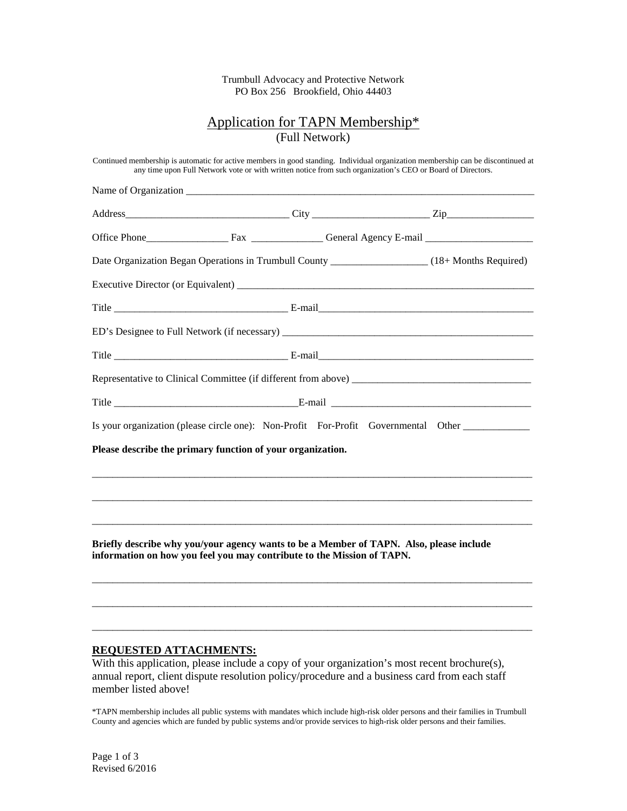Trumbull Advocacy and Protective Network PO Box 256 Brookfield, Ohio 44403

# Application for TAPN Membership\* (Full Network)

|                                                                        | Date Organization Began Operations in Trumbull County ___________________________(18+ Months Required)                                                                                                                         |  |
|------------------------------------------------------------------------|--------------------------------------------------------------------------------------------------------------------------------------------------------------------------------------------------------------------------------|--|
|                                                                        |                                                                                                                                                                                                                                |  |
|                                                                        |                                                                                                                                                                                                                                |  |
|                                                                        |                                                                                                                                                                                                                                |  |
|                                                                        |                                                                                                                                                                                                                                |  |
|                                                                        |                                                                                                                                                                                                                                |  |
|                                                                        | Title E-mail E-mail E-mail E-mail E-mail E-mail E-mail E-mail E-mail E-mail E-mail E-mail E-mail E-mail E-mail E-mail E-mail E-mail E-mail E-mail E-mail E-mail E-mail E-mail E-mail E-mail E-mail E-mail E-mail E-mail E-mail |  |
|                                                                        | Is your organization (please circle one): Non-Profit For-Profit Governmental Other                                                                                                                                             |  |
| Please describe the primary function of your organization.             |                                                                                                                                                                                                                                |  |
|                                                                        |                                                                                                                                                                                                                                |  |
|                                                                        |                                                                                                                                                                                                                                |  |
|                                                                        |                                                                                                                                                                                                                                |  |
| information on how you feel you may contribute to the Mission of TAPN. | Briefly describe why you/your agency wants to be a Member of TAPN. Also, please include                                                                                                                                        |  |
|                                                                        |                                                                                                                                                                                                                                |  |
|                                                                        |                                                                                                                                                                                                                                |  |

# **REQUESTED ATTACHMENTS:**

With this application, please include a copy of your organization's most recent brochure(s), annual report, client dispute resolution policy/procedure and a business card from each staff member listed above!

\*TAPN membership includes all public systems with mandates which include high-risk older persons and their families in Trumbull County and agencies which are funded by public systems and/or provide services to high-risk older persons and their families.

Page 1 of 3 Revised 6/2016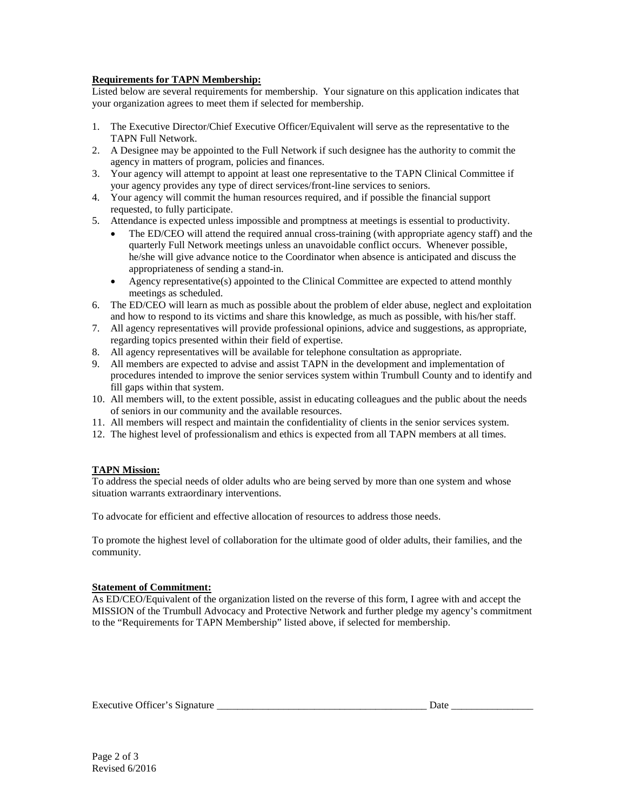# **Requirements for TAPN Membership:**

Listed below are several requirements for membership. Your signature on this application indicates that your organization agrees to meet them if selected for membership.

- 1. The Executive Director/Chief Executive Officer/Equivalent will serve as the representative to the TAPN Full Network.
- 2. A Designee may be appointed to the Full Network if such designee has the authority to commit the agency in matters of program, policies and finances.
- 3. Your agency will attempt to appoint at least one representative to the TAPN Clinical Committee if your agency provides any type of direct services/front-line services to seniors.
- 4. Your agency will commit the human resources required, and if possible the financial support requested, to fully participate.
- 5. Attendance is expected unless impossible and promptness at meetings is essential to productivity.
	- The ED/CEO will attend the required annual cross-training (with appropriate agency staff) and the quarterly Full Network meetings unless an unavoidable conflict occurs. Whenever possible, he/she will give advance notice to the Coordinator when absence is anticipated and discuss the appropriateness of sending a stand-in.
	- Agency representative(s) appointed to the Clinical Committee are expected to attend monthly meetings as scheduled.
- 6. The ED/CEO will learn as much as possible about the problem of elder abuse, neglect and exploitation and how to respond to its victims and share this knowledge, as much as possible, with his/her staff.
- 7. All agency representatives will provide professional opinions, advice and suggestions, as appropriate, regarding topics presented within their field of expertise.
- 8. All agency representatives will be available for telephone consultation as appropriate.
- 9. All members are expected to advise and assist TAPN in the development and implementation of procedures intended to improve the senior services system within Trumbull County and to identify and fill gaps within that system.
- 10. All members will, to the extent possible, assist in educating colleagues and the public about the needs of seniors in our community and the available resources.
- 11. All members will respect and maintain the confidentiality of clients in the senior services system.
- 12. The highest level of professionalism and ethics is expected from all TAPN members at all times.

# **TAPN Mission:**

To address the special needs of older adults who are being served by more than one system and whose situation warrants extraordinary interventions.

To advocate for efficient and effective allocation of resources to address those needs.

To promote the highest level of collaboration for the ultimate good of older adults, their families, and the community.

# **Statement of Commitment:**

As ED/CEO/Equivalent of the organization listed on the reverse of this form, I agree with and accept the MISSION of the Trumbull Advocacy and Protective Network and further pledge my agency's commitment to the "Requirements for TAPN Membership" listed above, if selected for membership.

Executive Officer's Signature \_\_\_\_\_\_\_\_\_\_\_\_\_\_\_\_\_\_\_\_\_\_\_\_\_\_\_\_\_\_\_\_\_\_\_\_\_\_\_\_\_ Date \_\_\_\_\_\_\_\_\_\_\_\_\_\_\_\_